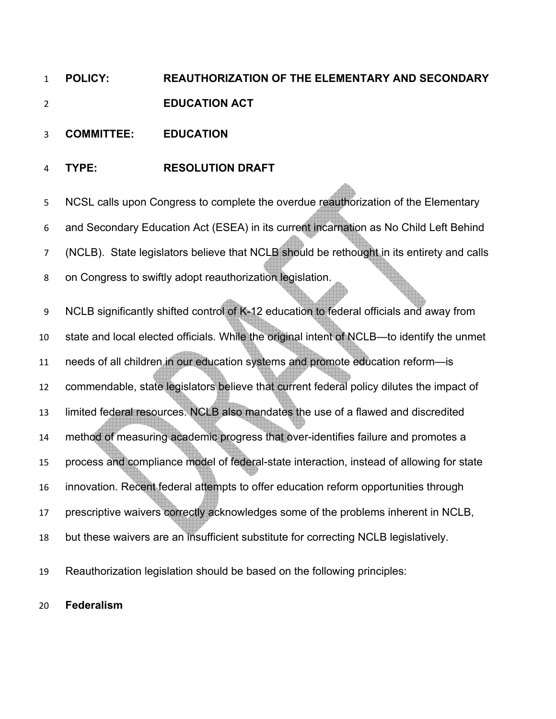## **POLICY: REAUTHORIZATION OF THE ELEMENTARY AND SECONDARY EDUCATION ACT**

- **COMMITTEE: EDUCATION**
- **TYPE: RESOLUTION DRAFT**

NCSL calls upon Congress to complete the overdue reauthorization of the Elementary and Secondary Education Act (ESEA) in its current incarnation as No Child Left Behind 7 (NCLB). State legislators believe that NCLB should be rethought in its entirety and calls on Congress to swiftly adopt reauthorization legislation. NCLB significantly shifted control of K-12 education to federal officials and away from state and local elected officials. While the original intent of NCLB—to identify the unmet needs of all children in our education systems and promote education reform—is commendable, state legislators believe that current federal policy dilutes the impact of limited federal resources. NCLB also mandates the use of a flawed and discredited method of measuring academic progress that over-identifies failure and promotes a process and compliance model of federal-state interaction, instead of allowing for state innovation. Recent federal attempts to offer education reform opportunities through 17 prescriptive waivers correctly acknowledges some of the problems inherent in NCLB, but these waivers are an insufficient substitute for correcting NCLB legislatively.

Reauthorization legislation should be based on the following principles:

## **Federalism**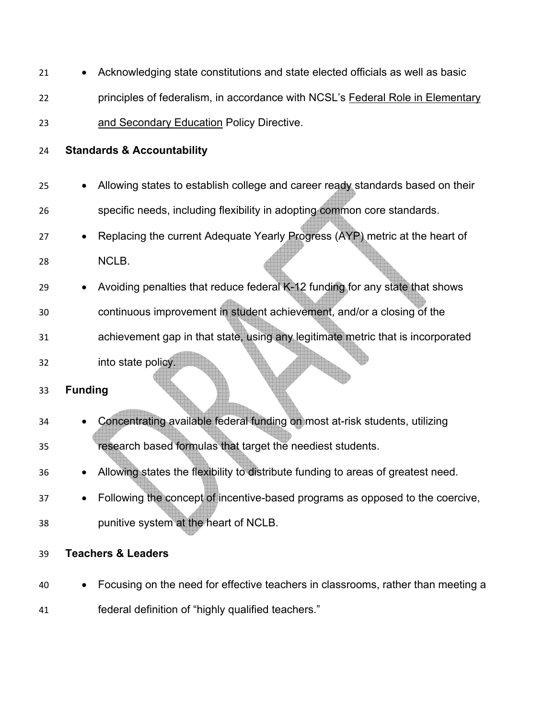| 21 | Acknowledging state constitutions and state elected officials as well as basic   |
|----|----------------------------------------------------------------------------------|
| 22 | principles of federalism, in accordance with NCSL's Federal Role in Elementary   |
| 23 | and Secondary Education Policy Directive.                                        |
| 24 | <b>Standards &amp; Accountability</b>                                            |
| 25 | Allowing states to establish college and career ready standards based on their   |
| 26 | specific needs, including flexibility in adopting common core standards.         |
| 27 | Replacing the current Adequate Yearly Progress (AYP) metric at the heart of      |
| 28 | NCLB.                                                                            |
| 29 | Avoiding penalties that reduce federal K-12 funding for any state that shows     |
| 30 | continuous improvement in student achievement, and/or a closing of the           |
| 31 | achievement gap in that state, using any legitimate metric that is incorporated  |
| 32 | into state policy.                                                               |
| 33 | <b>Funding</b>                                                                   |
| 34 | Concentrating available federal funding on most at-risk students, utilizing      |
| 35 | research based formulas that target the neediest students.                       |
| 36 | Allowing states the flexibility to distribute funding to areas of greatest need. |
| 37 | Following the concept of incentive-based programs as opposed to the coercive,    |
| 38 | punitive system at the heart of NCLB.                                            |
| 39 | <b>Teachers &amp; Leaders</b>                                                    |
| 40 | Focusing on the need for effective teachers in classrooms, rather than meeting a |

federal definition of "highly qualified teachers."